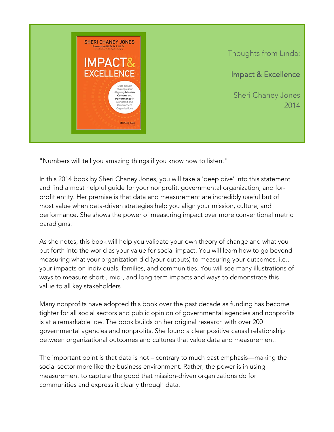

Thoughts from Linda:

Impact & Excellence

Sheri Chaney Jones 2014

"Numbers will tell you amazing things if you know how to listen."

In this 2014 book by Sheri Chaney Jones, you will take a 'deep dive' into this statement and find a most helpful guide for your nonprofit, governmental organization, and forprofit entity. Her premise is that data and measurement are incredibly useful but of most value when data-driven strategies help you align your mission, culture, and performance. She shows the power of measuring impact over more conventional metric paradigms.

As she notes, this book will help you validate your own theory of change and what you put forth into the world as your value for social impact. You will learn how to go beyond measuring what your organization did (your outputs) to measuring your outcomes, i.e., your impacts on individuals, families, and communities. You will see many illustrations of ways to measure short-, mid-, and long-term impacts and ways to demonstrate this value to all key stakeholders.

Many nonprofits have adopted this book over the past decade as funding has become tighter for all social sectors and public opinion of governmental agencies and nonprofits is at a remarkable low. The book builds on her original research with over 200 governmental agencies and nonprofits. She found a clear positive causal relationship between organizational outcomes and cultures that value data and measurement.

The important point is that data is not – contrary to much past emphasis—making the social sector more like the business environment. Rather, the power is in using measurement to capture the good that mission-driven organizations do for communities and express it clearly through data.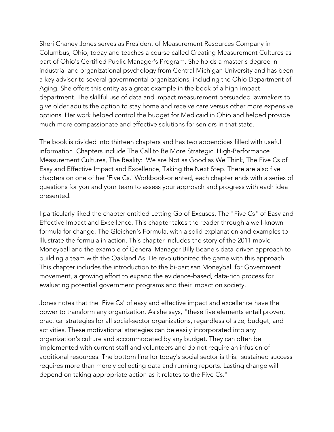Sheri Chaney Jones serves as President of Measurement Resources Company in Columbus, Ohio, today and teaches a course called Creating Measurement Cultures as part of Ohio's Certified Public Manager's Program. She holds a master's degree in industrial and organizational psychology from Central Michigan University and has been a key advisor to several governmental organizations, including the Ohio Department of Aging. She offers this entity as a great example in the book of a high-impact department. The skillful use of data and impact measurement persuaded lawmakers to give older adults the option to stay home and receive care versus other more expensive options. Her work helped control the budget for Medicaid in Ohio and helped provide much more compassionate and effective solutions for seniors in that state.

The book is divided into thirteen chapters and has two appendices filled with useful information. Chapters include The Call to Be More Strategic, High-Performance Measurement Cultures, The Reality: We are Not as Good as We Think, The Five Cs of Easy and Effective Impact and Excellence, Taking the Next Step. There are also five chapters on one of her 'Five Cs.' Workbook-oriented, each chapter ends with a series of questions for you and your team to assess your approach and progress with each idea presented.

I particularly liked the chapter entitled Letting Go of Excuses, The "Five Cs" of Easy and Effective Impact and Excellence. This chapter takes the reader through a well-known formula for change, The Gleichen's Formula, with a solid explanation and examples to illustrate the formula in action. This chapter includes the story of the 2011 movie Moneyball and the example of General Manager Billy Beane's data-driven approach to building a team with the Oakland As. He revolutionized the game with this approach. This chapter includes the introduction to the bi-partisan Moneyball for Government movement, a growing effort to expand the evidence-based, data-rich process for evaluating potential government programs and their impact on society.

Jones notes that the 'Five Cs' of easy and effective impact and excellence have the power to transform any organization. As she says, "these five elements entail proven, practical strategies for all social-sector organizations, regardless of size, budget, and activities. These motivational strategies can be easily incorporated into any organization's culture and accommodated by any budget. They can often be implemented with current staff and volunteers and do not require an infusion of additional resources. The bottom line for today's social sector is this: sustained success requires more than merely collecting data and running reports. Lasting change will depend on taking appropriate action as it relates to the Five Cs."